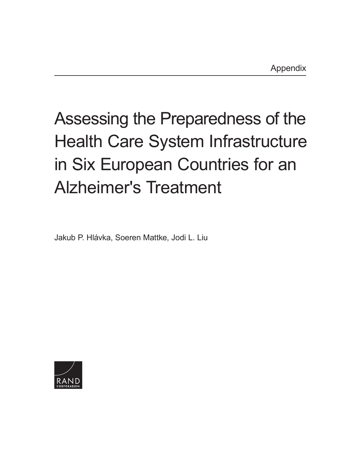## Assessing the Preparedness of the [Health Care System Infrastructure](https://www.rand.org/pubs/research_reports/RR2503.html)  in Six European Countries for an Alzheimer's Treatment

Jakub P. Hlávka, Soeren Mattke, Jodi L. Liu

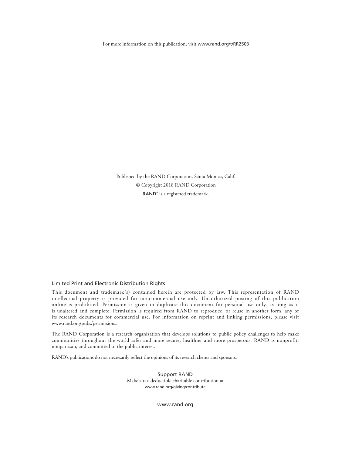For more information on this publication, visit [www.rand.org/t/RR2503](http://www.rand.org/t/RR2503)

Published by the RAND Corporation, Santa Monica, Calif. © Copyright 2018 RAND Corporation RAND<sup>®</sup> is a registered trademark.

## Limited Print and Electronic Distribution Rights

This document and trademark(s) contained herein are protected by law. This representation of RAND intellectual property is provided for noncommercial use only. Unauthorized posting of this publication online is prohibited. Permission is given to duplicate this document for personal use only, as long as it is unaltered and complete. Permission is required from RAND to reproduce, or reuse in another form, any of its research documents for commercial use. For information on reprint and linking permissions, please visit [www.rand.org/pubs/permissions.](http://www.rand.org/pubs/permissions)

The RAND Corporation is a research organization that develops solutions to public policy challenges to help make communities throughout the world safer and more secure, healthier and more prosperous. RAND is nonprofit, nonpartisan, and committed to the public interest.

RAND's publications do not necessarily reflect the opinions of its research clients and sponsors.

Support RAND Make a tax-deductible charitable contribution at [www.rand.org/giving/contribute](http://www.rand.org/giving/contribute)

[www.rand.org](http://www.rand.org)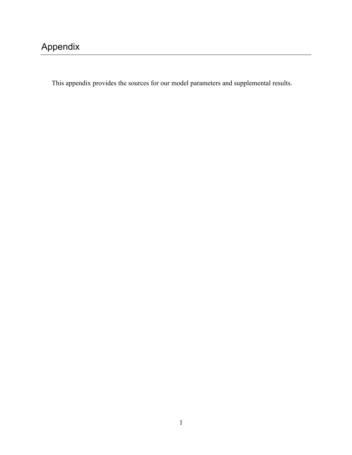This appendix provides the sources for our model parameters and supplemental results.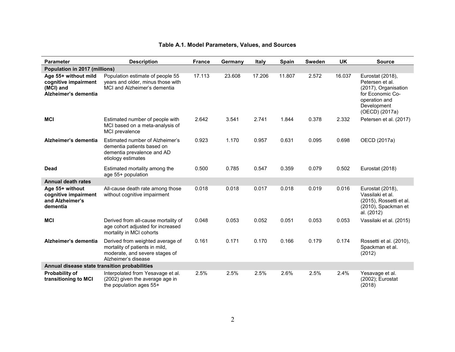| <b>Parameter</b>                                                                  | <b>Description</b>                                                                                                          | <b>France</b> | Germany | <b>Italy</b> | <b>Spain</b> | <b>Sweden</b> | <b>UK</b> | <b>Source</b>                                                                                                                     |
|-----------------------------------------------------------------------------------|-----------------------------------------------------------------------------------------------------------------------------|---------------|---------|--------------|--------------|---------------|-----------|-----------------------------------------------------------------------------------------------------------------------------------|
| Population in 2017 (millions)                                                     |                                                                                                                             |               |         |              |              |               |           |                                                                                                                                   |
| Age 55+ without mild<br>cognitive impairment<br>(MCI) and<br>Alzheimer's dementia | Population estimate of people 55<br>years and older, minus those with<br>MCI and Alzheimer's dementia                       | 17.113        | 23.608  | 17.206       | 11.807       | 2.572         | 16.037    | Eurostat (2018),<br>Petersen et al.<br>(2017), Organisation<br>for Economic Co-<br>operation and<br>Development<br>(OECD) (2017a) |
| <b>MCI</b>                                                                        | Estimated number of people with<br>MCI based on a meta-analysis of<br>MCI prevalence                                        | 2.642         | 3.541   | 2.741        | 1.844        | 0.378         | 2.332     | Petersen et al. (2017)                                                                                                            |
| Alzheimer's dementia                                                              | Estimated number of Alzheimer's<br>dementia patients based on<br>dementia prevalence and AD<br>etiology estimates           | 0.923         | 1.170   | 0.957        | 0.631        | 0.095         | 0.698     | OECD (2017a)                                                                                                                      |
| <b>Dead</b>                                                                       | Estimated mortality among the<br>age 55+ population                                                                         | 0.500         | 0.785   | 0.547        | 0.359        | 0.079         | 0.502     | Eurostat (2018)                                                                                                                   |
| <b>Annual death rates</b>                                                         |                                                                                                                             |               |         |              |              |               |           |                                                                                                                                   |
| Age 55+ without<br>cognitive impairment<br>and Alzheimer's<br>dementia            | All-cause death rate among those<br>without cognitive impairment                                                            | 0.018         | 0.018   | 0.017        | 0.018        | 0.019         | 0.016     | Eurostat (2018),<br>Vassilaki et al.<br>(2015), Rossetti et al.<br>(2010), Spackman et<br>al. (2012)                              |
| <b>MCI</b>                                                                        | Derived from all-cause mortality of<br>age cohort adjusted for increased<br>mortality in MCI cohorts                        | 0.048         | 0.053   | 0.052        | 0.051        | 0.053         | 0.053     | Vassilaki et al. (2015)                                                                                                           |
| Alzheimer's dementia                                                              | Derived from weighted average of<br>mortality of patients in mild,<br>moderate, and severe stages of<br>Alzheimer's disease | 0.161         | 0.171   | 0.170        | 0.166        | 0.179         | 0.174     | Rossetti et al. (2010),<br>Spackman et al.<br>(2012)                                                                              |
| Annual disease state transition probabilities                                     |                                                                                                                             |               |         |              |              |               |           |                                                                                                                                   |
| <b>Probability of</b><br>transitioning to MCI                                     | Interpolated from Yesavage et al.<br>(2002) given the average age in<br>the population ages 55+                             | 2.5%          | 2.5%    | 2.5%         | 2.6%         | 2.5%          | 2.4%      | Yesavage et al.<br>(2002); Eurostat<br>(2018)                                                                                     |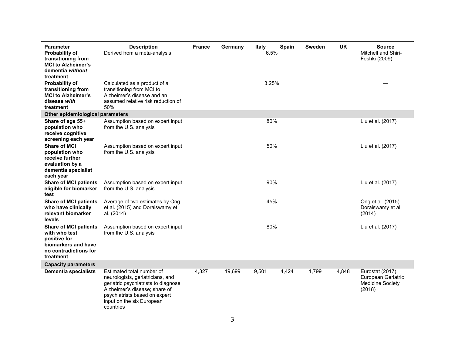| <b>Parameter</b>                                                                                                           | <b>Description</b>                                                                                                                                                                                               | <b>France</b> | Germany | <b>Italy</b> | Spain | Sweden | <b>UK</b>                                        | <b>Source</b>                                                               |
|----------------------------------------------------------------------------------------------------------------------------|------------------------------------------------------------------------------------------------------------------------------------------------------------------------------------------------------------------|---------------|---------|--------------|-------|--------|--------------------------------------------------|-----------------------------------------------------------------------------|
| <b>Probability of</b><br>transitioning from<br><b>MCI to Alzheimer's</b><br>dementia without<br>treatment                  | Derived from a meta-analysis                                                                                                                                                                                     |               |         | 6.5%         |       |        |                                                  | Mitchell and Shiri-<br>Feshki (2009)                                        |
| <b>Probability of</b><br>transitioning from<br><b>MCI to Alzheimer's</b><br>disease with<br>treatment                      | Calculated as a product of a<br>transitioning from MCI to<br>Alzheimer's disease and an<br>assumed relative risk reduction of<br>50%                                                                             |               |         | 3.25%        |       |        |                                                  |                                                                             |
| Other epidemiological parameters                                                                                           |                                                                                                                                                                                                                  |               |         |              |       |        |                                                  |                                                                             |
| Share of age 55+<br>population who<br>receive cognitive<br>screening each year                                             | Assumption based on expert input<br>from the U.S. analysis                                                                                                                                                       |               |         | 80%          |       |        |                                                  | Liu et al. (2017)                                                           |
| <b>Share of MCI</b><br>population who<br>receive further<br>evaluation by a<br>dementia specialist<br>each year            | Assumption based on expert input<br>from the U.S. analysis                                                                                                                                                       |               |         | 50%          |       |        |                                                  | Liu et al. (2017)                                                           |
| <b>Share of MCI patients</b><br>eligible for biomarker<br>test                                                             | Assumption based on expert input<br>from the U.S. analysis                                                                                                                                                       |               |         | 90%          |       |        |                                                  | Liu et al. (2017)                                                           |
| <b>Share of MCI patients</b><br>who have clinically<br>relevant biomarker<br>levels                                        | Average of two estimates by Ong<br>et al. (2015) and Doraiswamy et<br>al. (2014)                                                                                                                                 | 45%           |         |              |       |        | Ong et al. (2015)<br>Doraiswamy et al.<br>(2014) |                                                                             |
| <b>Share of MCI patients</b><br>with who test<br>positive for<br>biomarkers and have<br>no contradictions for<br>treatment | Assumption based on expert input<br>from the U.S. analysis                                                                                                                                                       | 80%           |         |              |       |        | Liu et al. (2017)                                |                                                                             |
| <b>Capacity parameters</b>                                                                                                 |                                                                                                                                                                                                                  |               |         |              |       |        |                                                  |                                                                             |
| <b>Dementia specialists</b>                                                                                                | Estimated total number of<br>neurologists, geriatricians, and<br>geriatric psychiatrists to diagnose<br>Alzheimer's disease; share of<br>psychiatrists based on expert<br>input on the six European<br>countries | 4,327         | 19,699  | 9,501        | 4,424 | 1,799  | 4,848                                            | Eurostat (2017),<br>European Geriatric<br><b>Medicine Society</b><br>(2018) |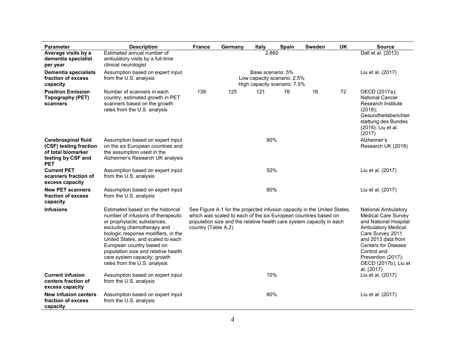| <b>Parameter</b>                                                                                               | <b>Description</b>                                                                                                                                                                                                                                                                                                                                   | <b>France</b>                                                                                                                                                                                                                              | Germany | Italy                                                                            | Spain | <b>Sweden</b> | UK | <b>Source</b>                                                                                                                                                                                                                                                     |
|----------------------------------------------------------------------------------------------------------------|------------------------------------------------------------------------------------------------------------------------------------------------------------------------------------------------------------------------------------------------------------------------------------------------------------------------------------------------------|--------------------------------------------------------------------------------------------------------------------------------------------------------------------------------------------------------------------------------------------|---------|----------------------------------------------------------------------------------|-------|---------------|----|-------------------------------------------------------------------------------------------------------------------------------------------------------------------------------------------------------------------------------------------------------------------|
| Average visits by a<br>dementia specialist<br>per year                                                         | Estimated annual number of<br>ambulatory visits by a full-time<br>clinical neurologist                                                                                                                                                                                                                                                               |                                                                                                                                                                                                                                            |         | 2.860                                                                            |       |               |    | Dall et al. (2013)                                                                                                                                                                                                                                                |
| <b>Dementia specialists</b><br>fraction of excess<br>capacity                                                  | Assumption based on expert input<br>from the U.S. analysis                                                                                                                                                                                                                                                                                           |                                                                                                                                                                                                                                            |         | Base scenario: 5%<br>Low capacity scenario: 2.5%<br>High capacity scenario: 7.5% |       |               |    | Liu et al. (2017)                                                                                                                                                                                                                                                 |
| <b>Positron Emission</b><br>Topography (PET)<br>scanners                                                       | Number of scanners in each<br>country; estimated growth in PET<br>scanners based on the growth<br>rates from the U.S. analysis                                                                                                                                                                                                                       | 139                                                                                                                                                                                                                                        | 125     | 121                                                                              | 76    | 16            | 72 | OECD (2017a);<br><b>National Cancer</b><br>Research Institute<br>(2018);<br>Gesundheitsberichter<br>stattung des Bundes<br>(2018); Liu et al.<br>(2017)                                                                                                           |
| <b>Cerebrospinal fluid</b><br>(CSF) testing fraction<br>of total biomarker<br>testing by CSF and<br><b>PET</b> | Assumption based on expert input<br>on the six European countries and<br>the assumption used in the<br>Alzheimer's Research UK analysis                                                                                                                                                                                                              |                                                                                                                                                                                                                                            |         | 90%                                                                              |       |               |    | Alzheimer's<br>Research UK (2018)                                                                                                                                                                                                                                 |
| <b>Current PET</b><br>scanners fraction of<br>excess capacity                                                  | Assumption based on expert input<br>from the U.S. analysis                                                                                                                                                                                                                                                                                           |                                                                                                                                                                                                                                            |         | 50%                                                                              |       |               |    | Liu et al. (2017)                                                                                                                                                                                                                                                 |
| <b>New PET scanners</b><br>fraction of excess<br>capacity                                                      | Assumption based on expert input<br>from the U.S. analysis                                                                                                                                                                                                                                                                                           |                                                                                                                                                                                                                                            |         | 80%                                                                              |       |               |    | Liu et al. (2017)                                                                                                                                                                                                                                                 |
| <b>Infusions</b>                                                                                               | Estimated based on the historical<br>number of infusions of therapeutic<br>or prophylactic substances,<br>excluding chemotherapy and<br>biologic response modifiers, in the<br>United States, and scaled to each<br>European country based on<br>population size and relative health<br>care system capacity; growth<br>rates from the U.S. analysis | See Figure A.1 for the projected infusion capacity in the United States,<br>which was scaled to each of the six European countries based on<br>population size and the relative health care system capacity in each<br>country (Table A.2) |         |                                                                                  |       |               |    | <b>National Ambulatory</b><br><b>Medical Care Survey</b><br>and National Hospital<br><b>Ambulatory Medical</b><br>Care Survey 2011<br>and 2013 data from<br><b>Centers for Disease</b><br>Control and<br>Prevention (2017);<br>OECD (2017b); Liu et<br>al. (2017) |
| <b>Current infusion</b><br>centers fraction of<br>excess capacity                                              | Assumption based on expert input<br>from the U.S. analysis                                                                                                                                                                                                                                                                                           |                                                                                                                                                                                                                                            |         | 10%                                                                              |       |               |    | Liu et al. (2017)                                                                                                                                                                                                                                                 |
| <b>New infusion centers</b><br>fraction of excess<br>capacity                                                  | Assumption based on expert input<br>from the U.S. analysis                                                                                                                                                                                                                                                                                           |                                                                                                                                                                                                                                            |         | 80%                                                                              |       |               |    | Liu et al. (2017)                                                                                                                                                                                                                                                 |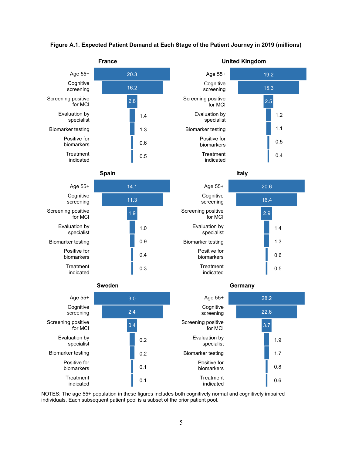

## **Figure A.1. Expected Patient Demand at Each Stage of the Patient Journey in 2019 (millions)**

NOTES: The age 55+ population in these figures includes both cognitively normal and cognitively impaired individuals. Each subsequent patient pool is a subset of the prior patient pool.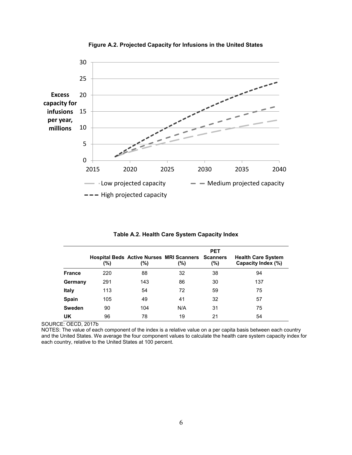

**Figure A.2. Projected Capacity for Infusions in the United States**

|               | $(\% )$ | (%) | <b>Hospital Beds Active Nurses MRI Scanners Scanners</b><br>(%) | <b>PET</b><br>$(\% )$ | <b>Health Care System</b><br>Capacity Index (%) |
|---------------|---------|-----|-----------------------------------------------------------------|-----------------------|-------------------------------------------------|
| <b>France</b> | 220     | 88  | 32                                                              | 38                    | 94                                              |
| Germany       | 291     | 143 | 86                                                              | 30                    | 137                                             |
| <b>Italy</b>  | 113     | 54  | 72                                                              | 59                    | 75                                              |
| <b>Spain</b>  | 105     | 49  | 41                                                              | 32                    | 57                                              |
| <b>Sweden</b> | 90      | 104 | N/A                                                             | 31                    | 75                                              |
| UK            | 96      | 78  | 19                                                              | 21                    | 54                                              |

**Table A.2. Health Care System Capacity Index** 

SOURCE: OECD, 2017b

NOTES: The value of each component of the index is a relative value on a per capita basis between each country and the United States. We average the four component values to calculate the health care system capacity index for each country, relative to the United States at 100 percent.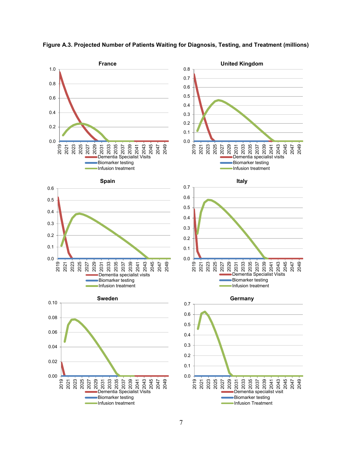

**Figure A.3. Projected Number of Patients Waiting for Diagnosis, Testing, and Treatment (millions)**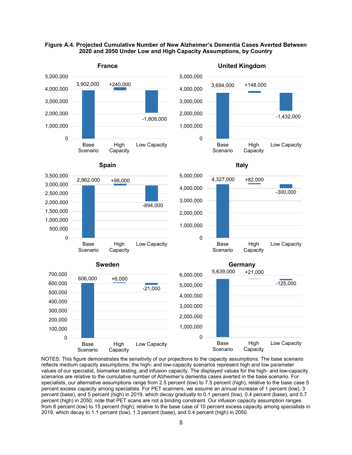



NOTES: This figure demonstrates the sensitivity of our projections to the capacity assumptions. The base scenario reflects medium capacity assumptions; the high- and low-capacity scenarios represent high and low parameter values of our specialist, biomarker testing, and infusion capacity. The displayed values for the high- and low-capacity scenarios are relative to the cumulative number of Alzheimer's dementia cases averted in the base scenario. For specialists, our alternative assumptions range from 2.5 percent (low) to 7.5 percent (high), relative to the base case 5 percent excess capacity among specialists. For PET scanners, we assume an annual increase of 1 percent (low), 3 percent (base), and 5 percent (high) in 2019, which decay gradually to 0.1 percent (low), 0.4 percent (base), and 0.7 percent (high) in 2050; note that PET scans are not a binding constraint. Our infusion capacity assumption ranges from 8 percent (low) to 15 percent (high), relative to the base case of 10 percent excess capacity among specialists in 2019, which decay to 1.1 percent (low), 1.3 percent (base), and 0.4 percent (high) in 2050.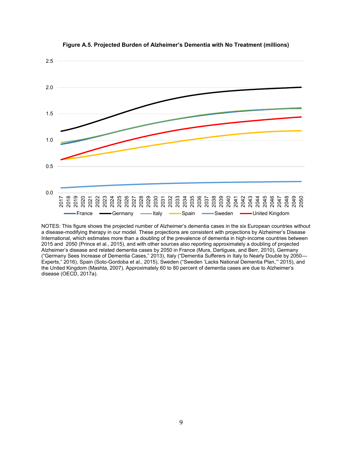

**Figure A.5. Projected Burden of Alzheimer's Dementia with No Treatment (millions)**

NOTES: This figure shows the projected number of Alzheimer's dementia cases in the six European countries without a disease-modifying therapy in our model. These projections are consistent with projections by Alzheimer's Disease International, which estimates more than a doubling of the prevalence of dementia in high-income countries between 2015 and 2050 (Prince et al., 2015), and with other sources also reporting approximately a doubling of projected Alzheimer's disease and related dementia cases by 2050 in France (Mura, Dartigues, and Berr, 2010), Germany ("Germany Sees Increase of Dementia Cases," 2013), Italy ("Dementia Sufferers in Italy to Nearly Double by 2050— Experts," 2016), Spain (Soto-Gordoba et al., 2015), Sweden ("Sweden 'Lacks National Dementia Plan,'" 2015), and the United Kingdom (Mashta, 2007). Approximately 60 to 80 percent of dementia cases are due to Alzheimer's disease (OECD, 2017a).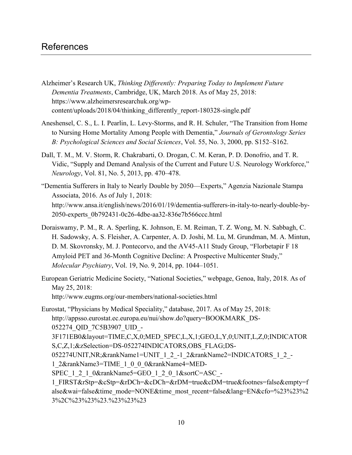## References

- Alzheimer's Research UK, *Thinking Differently: Preparing Today to Implement Future Dementia Treatments*, Cambridge, UK, March 2018. As of May 25, 2018: https://www.alzheimersresearchuk.org/wp[content/uploads/2018/04/thinking\\_differently\\_report-180328-single.pdf](https://www.alzheimersresearchuk.org/wp-content/uploads/2018/04/thinking_differently_report-180328-single.pdf)
- Aneshensel, C. S., L. I. Pearlin, L. Levy-Storms, and R. H. Schuler, "The Transition from Home to Nursing Home Mortality Among People with Dementia," *Journals of Gerontology Series B: Psychological Sciences and Social Sciences*, Vol. 55, No. 3, 2000, pp. S152–S162.
- Dall, T. M., M. V. Storm, R. Chakrabarti, O. Drogan, C. M. Keran, P. D. Donofrio, and T. R. Vidic, "Supply and Demand Analysis of the Current and Future U.S. Neurology Workforce," *Neurology*, Vol. 81, No. 5, 2013, pp. 470–478.
- "Dementia Sufferers in Italy to Nearly Double by 2050—Experts," Agenzia Nazionale Stampa Associata, 2016. As of July 1, 2018: [http://www.ansa.it/english/news/2016/01/19/dementia-sufferers-in-italy-to-nearly-double-by-](http://www.ansa.it/english/news/2016/01/19/dementia-sufferers-in-italy-to-nearly-double-by-2050-experts_0b792431-0c26-4dbe-aa32-836e7b566ccc.html)2050-experts\_0b792431-0c26-4dbe-aa32-836e7b566ccc.html
- Doraiswamy, P. M., R. A. Sperling, K. Johnson, E. M. Reiman, T. Z. Wong, M. N. Sabbagh, C. H. Sadowsky, A. S. Fleisher, A. Carpenter, A. D. Joshi, M. Lu, M. Grundman, M. A. Mintun, D. M. Skovronsky, M. J. Pontecorvo, and the AV45-A11 Study Group, "Florbetapir F 18 Amyloid PET and 36-Month Cognitive Decline: A Prospective Multicenter Study," *Molecular Psychiatry*, Vol. 19, No. 9, 2014, pp. 1044–1051.
- European Geriatric Medicine Society, "National Societies," webpage, Genoa, Italy, 2018. As of May 25, 2018: <http://www.eugms.org/our-members/national-societies.html>

Eurostat, "Physicians by Medical Speciality," database, 2017. As of May 25, 2018: http://appsso.eurostat.ec.europa.eu/nui/show.do?query=BOOKMARK\_DS-052274\_QID\_7C5B3907\_UID\_- 3F171EB0&layout=TIME,C,X,0;MED\_SPEC,L,X,1;GEO,L,Y,0;UNIT,L,Z,0;INDICATOR S,C,Z,1;&zSelection=DS-052274INDICATORS,OBS\_FLAG;DS-052274UNIT, NR; & rankName1=UNIT\_1\_2\_-1\_2&rankName2=INDICATORS\_1\_2\_-1\_2&rankName3=TIME\_1\_0\_0\_0&rankName4=MED-SPEC\_1\_2\_1\_0&rankName5=GEO\_1\_2\_0\_1&sortC=ASC\_-1\_FIRST&rStp=&cStp=&rDCh=&cDCh=&rDM=true&cDM=true&footnes=false&empty=f [alse&wai=false&time\\_mode=NONE&time\\_most\\_recent=false&lang=EN&cfo=%23%23%2](http://appsso.eurostat.ec.europa.eu/nui/show.do?query=BOOKMARK_DS-052274_QID_7C5B3907_UID_-3F171EB0&layout=TIME,C,X,0;MED_SPEC,L,X,1;GEO,L,Y,0;UNIT,L,Z,0;INDICATORS,C,Z,1;&zSelection=DS-052274INDICATORS,OBS_FLAG;DS-052274UNIT,NR;&rankName1=UNIT_1_2_-1_2&rankName2=INDICATORS_1_2_-1_2&rankName3=TIME_1_0_0_0&rankName4=MEDSPEC_1_2_1_0&rankName5=GEO_1_2_0_1&sortC=ASC_-1_FIRST&rStp=&cStp=&rDCh=&cDCh=&rDM=true&cDM=true&footnes=false&empty=false&wai=false&time_mode=NONE&time_most_recent=false&lang=EN&cfo=%23%23%23%2C%23%23%23.%23%23%23) 3%2C%23%23%23.%23%23%23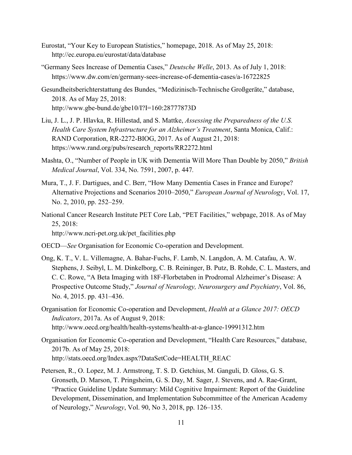- Eurostat, "Your Key to European Statistics," homepage, 2018. As of May 25, 2018: <http://ec.europa.eu/eurostat/data/database>
- "Germany Sees Increase of Dementia Cases," *Deutsche Welle*, 2013. As of July 1, 2018: <https://www.dw.com/en/germany-sees-increase-of-dementia-cases/a-16722825>
- Gesundheitsberichterstattung des Bundes, "Medizinisch-Technische Großgeräte," database, 2018. As of May 25, 2018: <http://www.gbe-bund.de/gbe10/I?I=160:28777873D>
- Liu, J. L., J. P. Hlavka, R. Hillestad, and S. Mattke, *Assessing the Preparedness of the U.S. Health Care System Infrastructure for an Alzheimer's Treatment*, Santa Monica, Calif.: RAND Corporation, RR-2272-BIOG, 2017. As of August 21, 2018: [https://www.rand.org/pubs/research\\_reports/RR2272.html](https://www.rand.org/pubs/research_reports/RR2272.html)
- Mashta, O., "Number of People in UK with Dementia Will More Than Double by 2050," *British Medical Journal*, Vol. 334, No. 7591, 2007, p. 447*.*
- Mura, T., J. F. Dartigues, and C. Berr, "How Many Dementia Cases in France and Europe? Alternative Projections and Scenarios 2010–2050," *European Journal of Neurology*, Vol. 17, No. 2, 2010, pp. 252–259.
- National Cancer Research Institute PET Core Lab, "PET Facilities," webpage, 2018. As of May 25, 2018: [http://www.ncri-pet.org.uk/pet\\_facilities.php](http://www.ncri-pet.org.uk/pet_facilities.php)
- OECD—*See* Organisation for Economic Co-operation and Development.
- Ong, K. T., V. L. Villemagne, A. Bahar-Fuchs, F. Lamb, N. Langdon, A. M. Catafau, A. W. Stephens, J. Seibyl, L. M. Dinkelborg, C. B. Reininger, B. Putz, B. Rohde, C. L. Masters, and C. C. Rowe, "A Beta Imaging with 18F-Florbetaben in Prodromal Alzheimer's Disease: A Prospective Outcome Study," *Journal of Neurology, Neurosurgery and Psychiatry*, Vol. 86, No. 4, 2015. pp. 431–436.
- Organisation for Economic Co-operation and Development, *Health at a Glance 2017: OECD Indicators*, 2017a. As of August 9, 2018: <http://www.oecd.org/health/health-systems/health-at-a-glance-19991312.htm>
- Organisation for Economic Co-operation and Development, "Health Care Resources," database, 2017b. As of May 25, 2018: [http://stats.oecd.org/Index.aspx?DataSetCode=HEALTH\\_REAC](http://stats.oecd.org/Index.aspx?DataSetCode=HEALTH_REAC)
- Petersen, R., O. Lopez, M. J. Armstrong, T. S. D. Getchius, M. Ganguli, D. Gloss, G. S. Gronseth, D. Marson, T. Pringsheim, G. S. Day, M. Sager, J. Stevens, and A. Rae-Grant, "Practice Guideline Update Summary: Mild Cognitive Impairment: Report of the Guideline Development, Dissemination, and Implementation Subcommittee of the American Academy of Neurology," *Neurology*, Vol. 90, No 3, 2018, pp. 126–135.